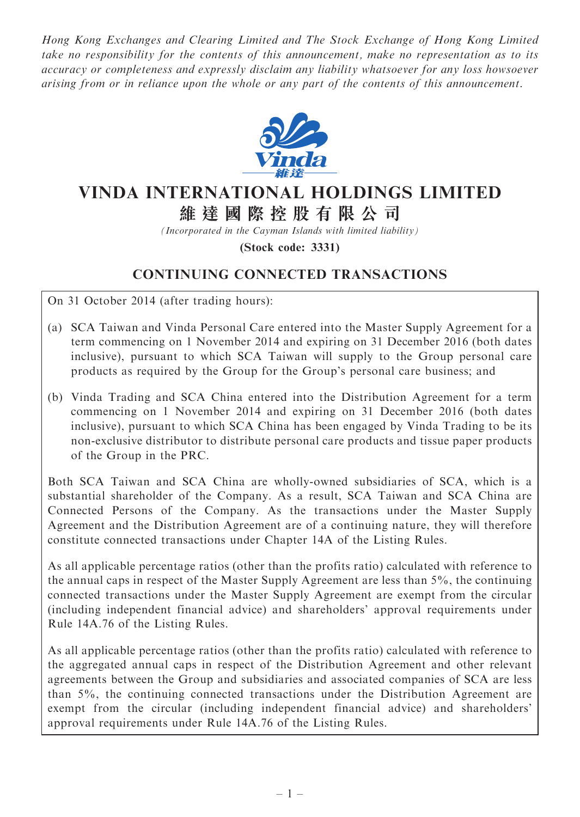Hong Kong Exchanges and Clearing Limited and The Stock Exchange of Hong Kong Limited take no responsibility for the contents of this announcement, make no representation as to its accuracy or completeness and expressly disclaim any liability whatsoever for any loss howsoever arising from or in reliance upon the whole or any part of the contents of this announcement.



# VINDA INTERNATIONAL HOLDINGS LIMITED

維 達 國 際 控 股 有 限 公 司

(Incorporated in the Cayman Islands with limited liability)

(Stock code: 3331)

## CONTINUING CONNECTED TRANSACTIONS

On 31 October 2014 (after trading hours):

- (a) SCA Taiwan and Vinda Personal Care entered into the Master Supply Agreement for a term commencing on 1 November 2014 and expiring on 31 December 2016 (both dates inclusive), pursuant to which SCA Taiwan will supply to the Group personal care products as required by the Group for the Group's personal care business; and
- (b) Vinda Trading and SCA China entered into the Distribution Agreement for a term commencing on 1 November 2014 and expiring on 31 December 2016 (both dates inclusive), pursuant to which SCA China has been engaged by Vinda Trading to be its non-exclusive distributor to distribute personal care products and tissue paper products of the Group in the PRC.

Both SCA Taiwan and SCA China are wholly-owned subsidiaries of SCA, which is a substantial shareholder of the Company. As a result, SCA Taiwan and SCA China are Connected Persons of the Company. As the transactions under the Master Supply Agreement and the Distribution Agreement are of a continuing nature, they will therefore constitute connected transactions under Chapter 14A of the Listing Rules.

As all applicable percentage ratios (other than the profits ratio) calculated with reference to the annual caps in respect of the Master Supply Agreement are less than 5%, the continuing connected transactions under the Master Supply Agreement are exempt from the circular (including independent financial advice) and shareholders' approval requirements under Rule 14A.76 of the Listing Rules.

As all applicable percentage ratios (other than the profits ratio) calculated with reference to the aggregated annual caps in respect of the Distribution Agreement and other relevant agreements between the Group and subsidiaries and associated companies of SCA are less than 5%, the continuing connected transactions under the Distribution Agreement are exempt from the circular (including independent financial advice) and shareholders' approval requirements under Rule 14A.76 of the Listing Rules.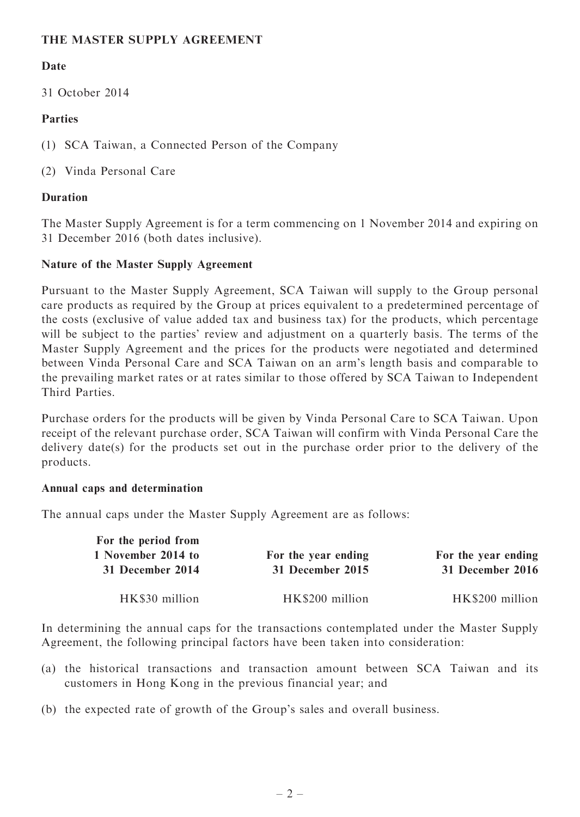#### THE MASTER SUPPLY AGREEMENT

## Date

31 October 2014

## Parties

(1) SCA Taiwan, a Connected Person of the Company

(2) Vinda Personal Care

#### Duration

The Master Supply Agreement is for a term commencing on 1 November 2014 and expiring on 31 December 2016 (both dates inclusive).

#### Nature of the Master Supply Agreement

Pursuant to the Master Supply Agreement, SCA Taiwan will supply to the Group personal care products as required by the Group at prices equivalent to a predetermined percentage of the costs (exclusive of value added tax and business tax) for the products, which percentage will be subject to the parties' review and adjustment on a quarterly basis. The terms of the Master Supply Agreement and the prices for the products were negotiated and determined between Vinda Personal Care and SCA Taiwan on an arm's length basis and comparable to the prevailing market rates or at rates similar to those offered by SCA Taiwan to Independent Third Parties.

Purchase orders for the products will be given by Vinda Personal Care to SCA Taiwan. Upon receipt of the relevant purchase order, SCA Taiwan will confirm with Vinda Personal Care the delivery date(s) for the products set out in the purchase order prior to the delivery of the products.

#### Annual caps and determination

The annual caps under the Master Supply Agreement are as follows:

| For the period from |                     |                     |
|---------------------|---------------------|---------------------|
| 1 November 2014 to  | For the year ending | For the year ending |
| 31 December 2014    | 31 December 2015    | 31 December 2016    |
| HK\$30 million      | HK\$200 million     | HK\$200 million     |

In determining the annual caps for the transactions contemplated under the Master Supply Agreement, the following principal factors have been taken into consideration:

- (a) the historical transactions and transaction amount between SCA Taiwan and its customers in Hong Kong in the previous financial year; and
- (b) the expected rate of growth of the Group's sales and overall business.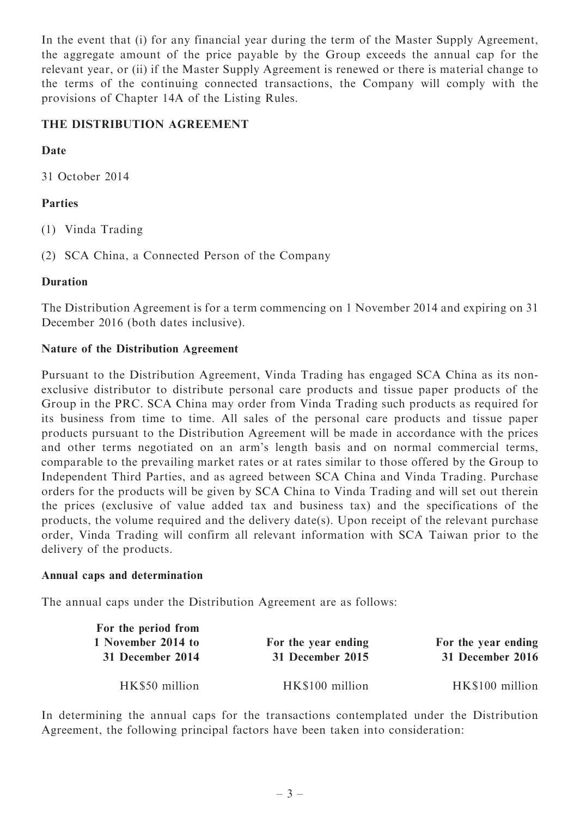In the event that (i) for any financial year during the term of the Master Supply Agreement, the aggregate amount of the price payable by the Group exceeds the annual cap for the relevant year, or (ii) if the Master Supply Agreement is renewed or there is material change to the terms of the continuing connected transactions, the Company will comply with the provisions of Chapter 14A of the Listing Rules.

## THE DISTRIBUTION AGREEMENT

## Date

31 October 2014

## Parties

(1) Vinda Trading

(2) SCA China, a Connected Person of the Company

## Duration

The Distribution Agreement is for a term commencing on 1 November 2014 and expiring on 31 December 2016 (both dates inclusive).

## Nature of the Distribution Agreement

Pursuant to the Distribution Agreement, Vinda Trading has engaged SCA China as its nonexclusive distributor to distribute personal care products and tissue paper products of the Group in the PRC. SCA China may order from Vinda Trading such products as required for its business from time to time. All sales of the personal care products and tissue paper products pursuant to the Distribution Agreement will be made in accordance with the prices and other terms negotiated on an arm's length basis and on normal commercial terms, comparable to the prevailing market rates or at rates similar to those offered by the Group to Independent Third Parties, and as agreed between SCA China and Vinda Trading. Purchase orders for the products will be given by SCA China to Vinda Trading and will set out therein the prices (exclusive of value added tax and business tax) and the specifications of the products, the volume required and the delivery date(s). Upon receipt of the relevant purchase order, Vinda Trading will confirm all relevant information with SCA Taiwan prior to the delivery of the products.

#### Annual caps and determination

The annual caps under the Distribution Agreement are as follows:

| For the year ending<br>31 December 2016 | For the year ending<br>31 December 2015 | For the period from<br>1 November 2014 to<br>31 December 2014 |
|-----------------------------------------|-----------------------------------------|---------------------------------------------------------------|
| HK\$100 million                         | HK\$100 million                         | HK\$50 million                                                |

In determining the annual caps for the transactions contemplated under the Distribution Agreement, the following principal factors have been taken into consideration: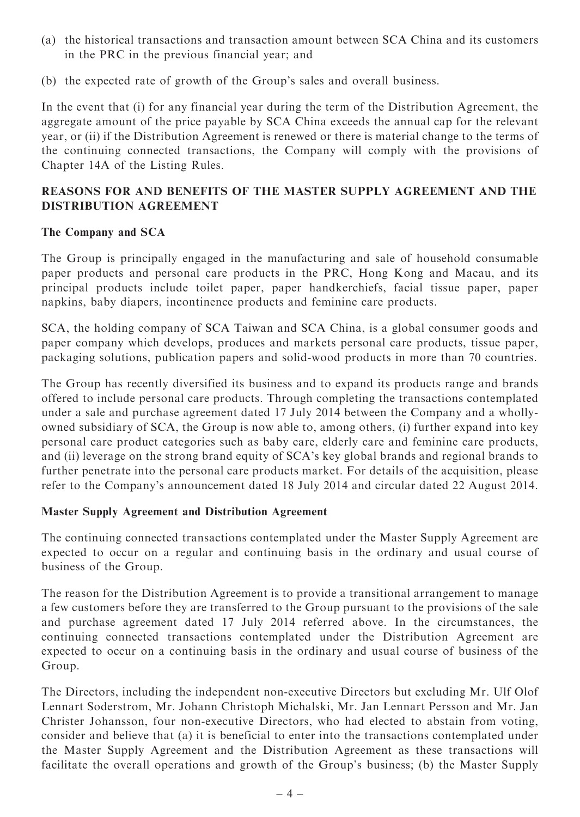- (a) the historical transactions and transaction amount between SCA China and its customers in the PRC in the previous financial year; and
- (b) the expected rate of growth of the Group's sales and overall business.

In the event that (i) for any financial year during the term of the Distribution Agreement, the aggregate amount of the price payable by SCA China exceeds the annual cap for the relevant year, or (ii) if the Distribution Agreement is renewed or there is material change to the terms of the continuing connected transactions, the Company will comply with the provisions of Chapter 14A of the Listing Rules.

## REASONS FOR AND BENEFITS OF THE MASTER SUPPLY AGREEMENT AND THE DISTRIBUTION AGREEMENT

## The Company and SCA

The Group is principally engaged in the manufacturing and sale of household consumable paper products and personal care products in the PRC, Hong Kong and Macau, and its principal products include toilet paper, paper handkerchiefs, facial tissue paper, paper napkins, baby diapers, incontinence products and feminine care products.

SCA, the holding company of SCA Taiwan and SCA China, is a global consumer goods and paper company which develops, produces and markets personal care products, tissue paper, packaging solutions, publication papers and solid-wood products in more than 70 countries.

The Group has recently diversified its business and to expand its products range and brands offered to include personal care products. Through completing the transactions contemplated under a sale and purchase agreement dated 17 July 2014 between the Company and a whollyowned subsidiary of SCA, the Group is now able to, among others, (i) further expand into key personal care product categories such as baby care, elderly care and feminine care products, and (ii) leverage on the strong brand equity of SCA's key global brands and regional brands to further penetrate into the personal care products market. For details of the acquisition, please refer to the Company's announcement dated 18 July 2014 and circular dated 22 August 2014.

## Master Supply Agreement and Distribution Agreement

The continuing connected transactions contemplated under the Master Supply Agreement are expected to occur on a regular and continuing basis in the ordinary and usual course of business of the Group.

The reason for the Distribution Agreement is to provide a transitional arrangement to manage a few customers before they are transferred to the Group pursuant to the provisions of the sale and purchase agreement dated 17 July 2014 referred above. In the circumstances, the continuing connected transactions contemplated under the Distribution Agreement are expected to occur on a continuing basis in the ordinary and usual course of business of the Group.

The Directors, including the independent non-executive Directors but excluding Mr. Ulf Olof Lennart Soderstrom, Mr. Johann Christoph Michalski, Mr. Jan Lennart Persson and Mr. Jan Christer Johansson, four non-executive Directors, who had elected to abstain from voting, consider and believe that (a) it is beneficial to enter into the transactions contemplated under the Master Supply Agreement and the Distribution Agreement as these transactions will facilitate the overall operations and growth of the Group's business; (b) the Master Supply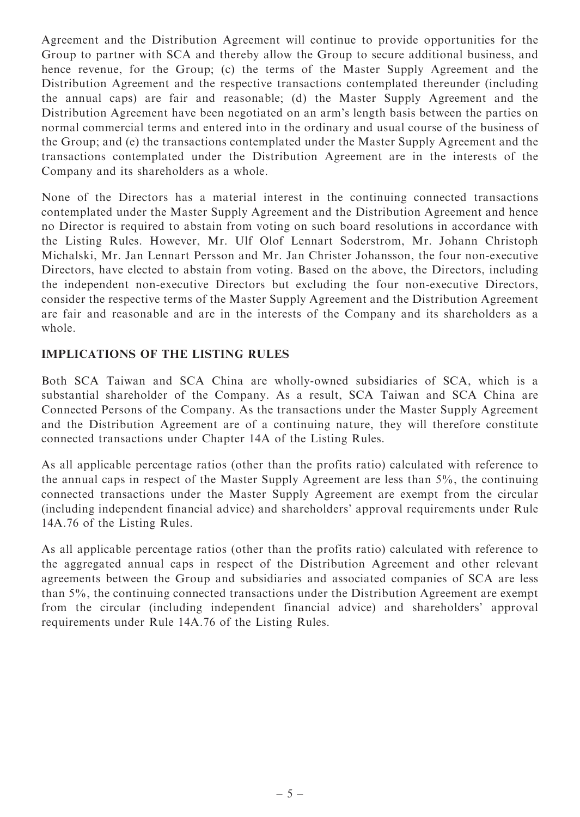Agreement and the Distribution Agreement will continue to provide opportunities for the Group to partner with SCA and thereby allow the Group to secure additional business, and hence revenue, for the Group; (c) the terms of the Master Supply Agreement and the Distribution Agreement and the respective transactions contemplated thereunder (including the annual caps) are fair and reasonable; (d) the Master Supply Agreement and the Distribution Agreement have been negotiated on an arm's length basis between the parties on normal commercial terms and entered into in the ordinary and usual course of the business of the Group; and (e) the transactions contemplated under the Master Supply Agreement and the transactions contemplated under the Distribution Agreement are in the interests of the Company and its shareholders as a whole.

None of the Directors has a material interest in the continuing connected transactions contemplated under the Master Supply Agreement and the Distribution Agreement and hence no Director is required to abstain from voting on such board resolutions in accordance with the Listing Rules. However, Mr. Ulf Olof Lennart Soderstrom, Mr. Johann Christoph Michalski, Mr. Jan Lennart Persson and Mr. Jan Christer Johansson, the four non-executive Directors, have elected to abstain from voting. Based on the above, the Directors, including the independent non-executive Directors but excluding the four non-executive Directors, consider the respective terms of the Master Supply Agreement and the Distribution Agreement are fair and reasonable and are in the interests of the Company and its shareholders as a whole.

## IMPLICATIONS OF THE LISTING RULES

Both SCA Taiwan and SCA China are wholly-owned subsidiaries of SCA, which is a substantial shareholder of the Company. As a result, SCA Taiwan and SCA China are Connected Persons of the Company. As the transactions under the Master Supply Agreement and the Distribution Agreement are of a continuing nature, they will therefore constitute connected transactions under Chapter 14A of the Listing Rules.

As all applicable percentage ratios (other than the profits ratio) calculated with reference to the annual caps in respect of the Master Supply Agreement are less than 5%, the continuing connected transactions under the Master Supply Agreement are exempt from the circular (including independent financial advice) and shareholders' approval requirements under Rule 14A.76 of the Listing Rules.

As all applicable percentage ratios (other than the profits ratio) calculated with reference to the aggregated annual caps in respect of the Distribution Agreement and other relevant agreements between the Group and subsidiaries and associated companies of SCA are less than 5%, the continuing connected transactions under the Distribution Agreement are exempt from the circular (including independent financial advice) and shareholders' approval requirements under Rule 14A.76 of the Listing Rules.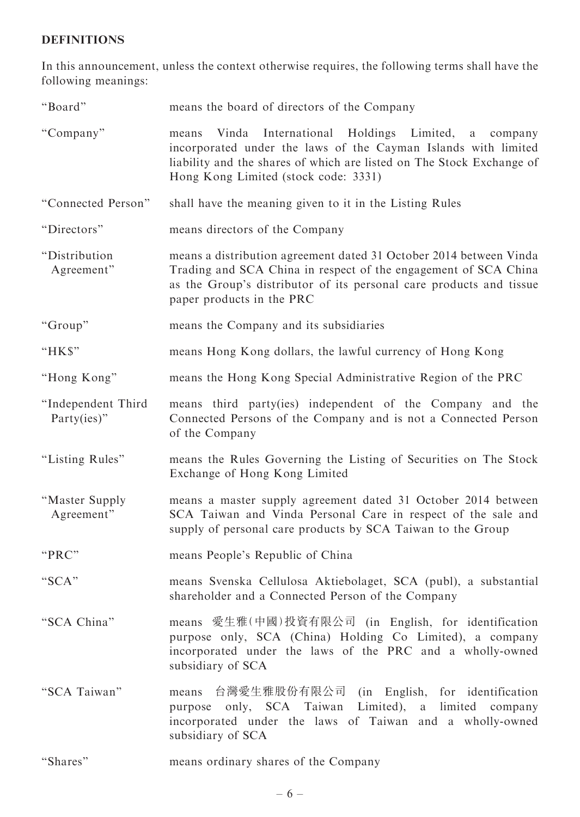## DEFINITIONS

In this announcement, unless the context otherwise requires, the following terms shall have the following meanings:

| "Board"                           | means the board of directors of the Company                                                                                                                                                                                                          |  |
|-----------------------------------|------------------------------------------------------------------------------------------------------------------------------------------------------------------------------------------------------------------------------------------------------|--|
| "Company"                         | International Holdings Limited,<br>Vinda<br>means<br>a<br>company<br>incorporated under the laws of the Cayman Islands with limited<br>liability and the shares of which are listed on The Stock Exchange of<br>Hong Kong Limited (stock code: 3331) |  |
| "Connected Person"                | shall have the meaning given to it in the Listing Rules                                                                                                                                                                                              |  |
| "Directors"                       | means directors of the Company                                                                                                                                                                                                                       |  |
| "Distribution<br>Agreement"       | means a distribution agreement dated 31 October 2014 between Vinda<br>Trading and SCA China in respect of the engagement of SCA China<br>as the Group's distributor of its personal care products and tissue<br>paper products in the PRC            |  |
| "Group"                           | means the Company and its subsidiaries                                                                                                                                                                                                               |  |
| "HK\$"                            | means Hong Kong dollars, the lawful currency of Hong Kong                                                                                                                                                                                            |  |
| "Hong Kong"                       | means the Hong Kong Special Administrative Region of the PRC                                                                                                                                                                                         |  |
| "Independent Third<br>Party(ies)" | means third party(ies) independent of the Company and the<br>Connected Persons of the Company and is not a Connected Person<br>of the Company                                                                                                        |  |
| "Listing Rules"                   | means the Rules Governing the Listing of Securities on The Stock<br>Exchange of Hong Kong Limited                                                                                                                                                    |  |
| "Master Supply<br>Agreement"      | means a master supply agreement dated 31 October 2014 between<br>SCA Taiwan and Vinda Personal Care in respect of the sale and<br>supply of personal care products by SCA Taiwan to the Group                                                        |  |
| "PRC"                             | means People's Republic of China                                                                                                                                                                                                                     |  |
| "SCA"                             | means Svenska Cellulosa Aktiebolaget, SCA (publ), a substantial<br>shareholder and a Connected Person of the Company                                                                                                                                 |  |
| "SCA China"                       | means 愛生雅(中國)投資有限公司 (in English, for identification<br>purpose only, SCA (China) Holding Co Limited), a company<br>incorporated under the laws of the PRC and a wholly-owned<br>subsidiary of SCA                                                    |  |
| "SCA Taiwan"                      | means 台灣愛生雅股份有限公司 (in English, for identification<br>purpose only, SCA Taiwan Limited), a limited company<br>incorporated under the laws of Taiwan and a wholly-owned<br>subsidiary of SCA                                                           |  |
| "Shares"                          | means ordinary shares of the Company                                                                                                                                                                                                                 |  |